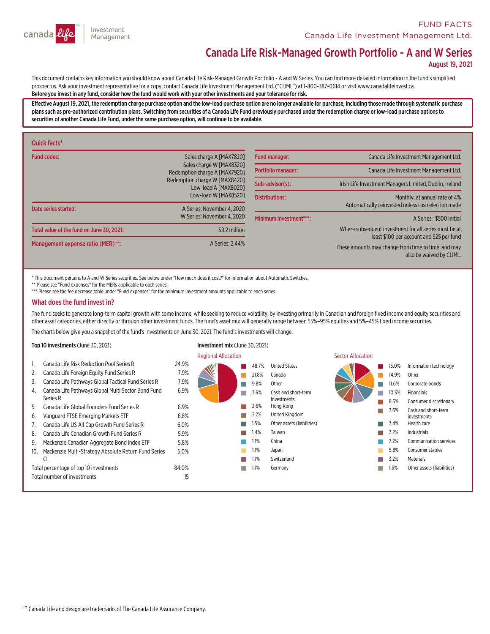

# Canada Life Risk-Managed Growth Portfolio - A and W Series

August 19, 2021

This document contains key information you should know about Canada Life Risk-Managed Growth Portfolio - A and W Series. You can find more detailed information in the fund's simplified<br>prospectus. Ask your investment repre Before you invest in any fund, consider how the fund would work with your other investments and your tolerance for risk.

Effective August 19, 2021, the redemption charge purchase option and the low-load purchase option are no longer available for purchase, including those made through systematic purchase<br>plans such as pre-authorized contribu securities of another Canada Life Fund, under the same purchase option, will continue to be available.

| Quick facts*                              |                                                                                                                                                |                        |                                                                                                    |  |
|-------------------------------------------|------------------------------------------------------------------------------------------------------------------------------------------------|------------------------|----------------------------------------------------------------------------------------------------|--|
| <b>Fund codes:</b>                        | Sales charge A [MAX7820]<br>Sales charge W [MAX8320]<br>Redemption charge A [MAX7920]<br>Redemption charge W [MAX8420]<br>Low-load A [MAX8020] | <b>Fund manager:</b>   | Canada Life Investment Management Ltd.                                                             |  |
|                                           |                                                                                                                                                | Portfolio manager:     | Canada Life Investment Management Ltd.                                                             |  |
|                                           |                                                                                                                                                | Sub-advisor(s):        | Irish Life Investment Managers Limited, Dublin, Ireland                                            |  |
| Date series started:                      | Low-load W [MAX8520]<br>A Series: November 4, 2020                                                                                             | <b>Distributions:</b>  | Monthly, at annual rate of 4%<br>Automatically reinvested unless cash election made                |  |
|                                           | W Series: November 4, 2020                                                                                                                     | Minimum investment***: | A Series: \$500 initial                                                                            |  |
| Total value of the fund on June 30, 2021: | \$9.2 million                                                                                                                                  |                        | Where subsequent investment for all series must be at<br>least \$100 per account and \$25 per fund |  |
| Management expense ratio (MER)**:         | A Series: 2.44%                                                                                                                                |                        | These amounts may change from time to time, and may<br>also be waived by CLIML.                    |  |

\* This document pertains to A and W Series securities. See below under "How much does it cost?" for information about Automatic Switches.

\*\* Please see "Fund expenses" for the MERs applicable to each series.

\*\*\* Please see the fee decrease table under "Fund expenses" for the minimum investment amounts applicable to each series.

#### What does the fund invest in?

The fund seeks to generate long-term capital growth with some income, while seeking to reduce volatility, by investing primarily in Canadian and foreign fixed income and equity securities and<br>other asset categories, either

The charts below give you a snapshot of the fund's investments on June 30, 2021. The fund's investments will change.

#### Top 10 investments (June 30, 2021) Investment mix (June 30, 2021)

|     |                                                      |       | <b>Regional Allocation</b> |       |                            | <b>Sector Allocation</b> |       |                               |
|-----|------------------------------------------------------|-------|----------------------------|-------|----------------------------|--------------------------|-------|-------------------------------|
|     | Canada Life Risk Reduction Pool Series R             | 24.9% |                            | 48.7% | <b>United States</b>       |                          | 15.0% | Information technology        |
|     | Canada Life Foreign Equity Fund Series R             | 7.9%  |                            | 21.8% | Canada                     |                          | 14.9% | Other                         |
| 3.  | Canada Life Pathways Global Tactical Fund Series R   | 7.9%  |                            | 9.8%  | Other                      |                          | 11.6% | Corporate bonds               |
| 4.  | Canada Life Pathways Global Multi Sector Bond Fund   | 6.9%  |                            | 7.6%  | Cash and short-term        |                          | 10.3% | <b>Financials</b>             |
|     | Series R                                             |       |                            |       | investments                |                          | 8.3%  | Consumer discretionary        |
| 5.  | Canada Life Global Founders Fund Series R            | 6.9%  |                            | 2.6%  | Hong Kong                  |                          | 7.6%  | Cash and short-term           |
| 6.  | Vanguard FTSE Emerging Markets ETF                   | 6.8%  |                            | 2.2%  | United Kingdom             |                          |       | investments                   |
|     | Canada Life US All Cap Growth Fund Series R          | 6.0%  |                            | 1.5%  | Other assets (liabilities) |                          | 7.4%  | Health care                   |
| 8.  | Canada Life Canadian Growth Fund Series R            | 5.9%  |                            | 1.4%  | Taiwan                     |                          | 7.2%  | <b>Industrials</b>            |
| 9.  | Mackenzie Canadian Aggregate Bond Index ETF          | 5.8%  |                            | 1.1%  | China                      |                          | 2%    | <b>Communication services</b> |
| 10. | Mackenzie Multi-Strategy Absolute Return Fund Series | 5.0%  |                            | 1.1%  | Japan                      |                          | 5.8%  | Consumer staples              |
|     | CL                                                   |       |                            | 1.1%  | Switzerland                |                          | 3.2%  | Materials                     |
|     | Total percentage of top 10 investments               | 84.0% | ш                          | 1.1%  | Germany                    |                          | 1.5%  | Other assets (liabilities)    |
|     | Total number of investments                          | 15    |                            |       |                            |                          |       |                               |
|     |                                                      |       |                            |       |                            |                          |       |                               |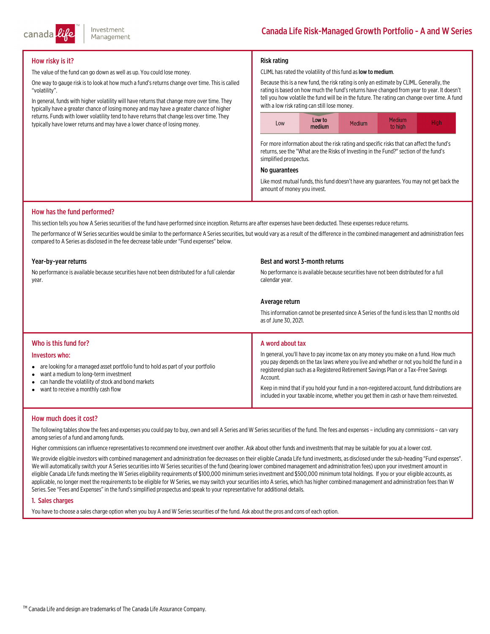

## How risky is it?

The value of the fund can go down as well as up. You could lose money.

One way to gauge risk is to look at how much a fund's returns change over time. This is called "volatility".

In general, funds with higher volatility will have returns that change more over time. They typically have a greater chance of losing money and may have a greater chance of higher returns. Funds with lower volatility tend to have returns that change less over time. They typically have lower returns and may have a lower chance of losing money.

### Risk rating

#### CLIML has rated the volatility of this fund as low to medium.

Because thisis a new fund, the risk rating is only an estimate by CLIML. Generally, the rating is based on how much the fund's returns have changed from year to year. It doesn't tell you how volatile the fund will be in the future. The rating can change over time. A fund with a low risk rating can still lose money.



For more information about the risk rating and specific risks that can affect the fund's returns, see the "What are the Risks of Investing in the Fund?" section of the fund's simplified prospectus.

#### No guarantees

Like most mutual funds, this fund doesn't have any guarantees. You may not get back the amount of money you invest.

#### How has the fund performed?

This section tells you how A Series securities of the fund have performed since inception. Returns are after expenses have been deducted. These expenses reduce returns.

The performance of W Series securities would be similar to the performance A Series securities, but would vary as a result of the difference in the combined management and administration fees compared to A Series as disclosed in the fee decrease table under "Fund expenses" below.

#### Year-by-year returns

No performance is available because securities have not been distributed for a full calendar<br>vear.

#### Best and worst 3-month returns

No performance is available because securities have not been distributed for a full calendar year.

#### Average return

This information cannot be presented since A Series of the fund is less than 12 months old as of June 30, 2021.

#### Who is this fund for?

#### Investors who:

- are looking for a managed asset portfolio fund to hold as part of your portfolio
- $\bullet$ want a medium to long-term investment
- $\bullet$ can handle the volatility of stock and bond markets
- $\bullet$ want to receive a monthly cash flow

#### A word about tax

In general, you'll have to pay income tax on any money you make on a fund. How much you pay depends on the tax laws where you live and whether or not you hold the fund in a registered plan such as a Registered Retirement Savings Plan or a Tax-Free Savings<br>Account.

Keep in mind that if you hold your fund in a non-registered account, fund distributions are included in your taxable income, whether you get them in cash or have them reinvested.

#### How much does it cost?

The following tables show the fees and expenses you could pay to buy, own and sell A Series and W Series securities of the fund. The fees and expenses – including any commissions – can vary<br>among series of a fund and among

Higher commissionscan influence representativesto recommend one investment over another. Ask about other funds and investmentsthatmay be suitable for you at a lower cost.

We provide eligible investors with combined management and administration fee decreases on their eligible Canada Life fund investments, as disclosed under the sub-heading "Fund expenses".<br>We will automatically switch your

#### 1. Sales charges

You have to choose a sales charge option when you buy A and W Series securities of the fund. Ask about the pros and cons of each option.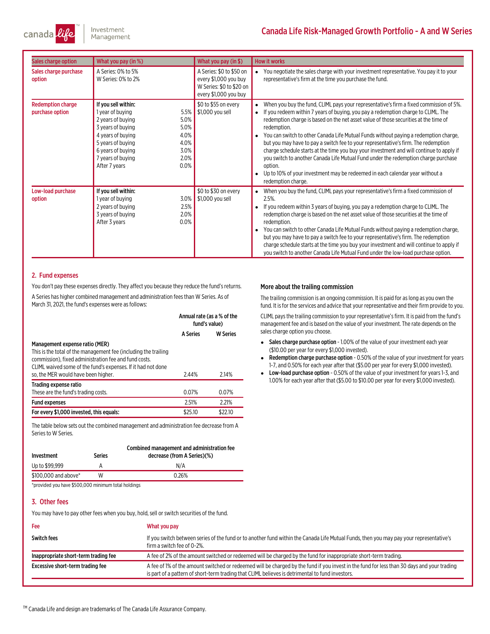

# Canada Life Risk-Managed Growth Portfolio - A and W Series

| Sales charge option                         | What you pay (in %)                                                                                                                                                                                                                                    | What you pay (in \$)                                                                                   | <b>How it works</b>                                                                                                                                                                                                                                                                                                                                                                                                                                                                                                                                                                                                                                                                                                                                                                           |
|---------------------------------------------|--------------------------------------------------------------------------------------------------------------------------------------------------------------------------------------------------------------------------------------------------------|--------------------------------------------------------------------------------------------------------|-----------------------------------------------------------------------------------------------------------------------------------------------------------------------------------------------------------------------------------------------------------------------------------------------------------------------------------------------------------------------------------------------------------------------------------------------------------------------------------------------------------------------------------------------------------------------------------------------------------------------------------------------------------------------------------------------------------------------------------------------------------------------------------------------|
| Sales charge purchase<br>option             | A Series: 0% to 5%<br>W Series: 0% to 2%                                                                                                                                                                                                               | A Series: \$0 to \$50 on<br>every \$1,000 you buy<br>W Series: \$0 to \$20 on<br>every \$1,000 you buy | You negotiate the sales charge with your investment representative. You pay it to your<br>representative's firm at the time you purchase the fund.                                                                                                                                                                                                                                                                                                                                                                                                                                                                                                                                                                                                                                            |
| <b>Redemption charge</b><br>purchase option | If you sell within:<br>5.5%<br>1 year of buying<br>5.0%<br>2 years of buying<br>5.0%<br>3 years of buying<br>4.0%<br>4 years of buying<br>4.0%<br>5 years of buying<br>3.0%<br>6 years of buying<br>2.0%<br>7 years of buying<br>0.0%<br>After 7 years | \$0 to \$55 on every<br>\$1,000 you sell                                                               | When you buy the fund, CLIML pays your representative's firm a fixed commission of 5%.<br>$\bullet$<br>If you redeem within 7 years of buying, you pay a redemption charge to CLIML. The<br>$\bullet$<br>redemption charge is based on the net asset value of those securities at the time of<br>redemption.<br>You can switch to other Canada Life Mutual Funds without paying a redemption charge,<br>but you may have to pay a switch fee to your representative's firm. The redemption<br>charge schedule starts at the time you buy your investment and will continue to apply if<br>you switch to another Canada Life Mutual Fund under the redemption charge purchase<br>option.<br>Up to 10% of your investment may be redeemed in each calendar year without a<br>redemption charge. |
| Low-load purchase<br>option                 | If you sell within:<br>3.0%<br>1 year of buying<br>2 years of buying<br>2.5%<br>2.0%<br>3 years of buying<br>0.0%<br>After 3 years                                                                                                                     | \$0 to \$30 on every<br>\$1,000 you sell                                                               | When you buy the fund, CLIML pays your representative's firm a fixed commission of<br>$2.5%$ .<br>If you redeem within 3 years of buying, you pay a redemption charge to CLIML. The<br>redemption charge is based on the net asset value of those securities at the time of<br>redemption.<br>You can switch to other Canada Life Mutual Funds without paying a redemption charge,<br>but you may have to pay a switch fee to your representative's firm. The redemption<br>charge schedule starts at the time you buy your investment and will continue to apply if<br>you switch to another Canada Life Mutual Fund under the low-load purchase option.                                                                                                                                     |

#### 2. Fund expenses

You don't pay these expenses directly. They affect you because they reduce the fund's returns. A Series has higher combined management and administration fees than W Series. As of March 31, 2021, the fund's expenses were as follows:

|                                                                                                                                                                                                                                                                   | Annual rate (as a % of the<br>fund's value) |                 |
|-------------------------------------------------------------------------------------------------------------------------------------------------------------------------------------------------------------------------------------------------------------------|---------------------------------------------|-----------------|
|                                                                                                                                                                                                                                                                   | <b>A Series</b>                             | <b>W</b> Series |
| Management expense ratio (MER)<br>This is the total of the management fee (including the trailing<br>commission), fixed administration fee and fund costs.<br>CLIML waived some of the fund's expenses. If it had not done<br>so, the MER would have been higher. | 2.44%                                       | 2.14%           |
| Trading expense ratio<br>These are the fund's trading costs.                                                                                                                                                                                                      | 0.07%                                       | 0.07%           |
| <b>Fund expenses</b>                                                                                                                                                                                                                                              | 2.51%                                       | 2.21%           |
| For every \$1,000 invested, this equals:                                                                                                                                                                                                                          | \$25.10                                     | \$22.10         |

The table below sets out the combined management and administration fee decrease from A Series.

| Investment           | <b>Series</b> | Combined management and administration fee<br>decrease (from A Series)(%) |
|----------------------|---------------|---------------------------------------------------------------------------|
| Up to \$99.999       |               | N/A                                                                       |
| \$100,000 and above* | W             | 0.26%                                                                     |
|                      |               |                                                                           |

\*provided you have \$500,000 minimum total holdings

## 3. Other fees

You may have to pay other fees when you buy, hold, sell or switch securities of the fund.

# Fee What you pay Switch fees many our representative's If you switch between series of the fund or to another fund within the Canada Life Mutual Funds, then you may pay your representative's firma switch fee of 0-2%. Inappropriate short-term trading fee <br>
A fee of 2% of the amount switched or redeemed will be charged by the fund for inappropriate short-term trading. Excessive short-term trading fee <br>A fee of 1% of the amount switched or redeemed will be charged by the fund if you invest in the fund for less than 30 days and your trading is part of a pattern of short-term trading that CLIML believes is detrimental to fund investors.

™ Canada Life and design are trademarks of The Canada Life Assurance Company.

#### More about the trailing commission

The trailing commission is an ongoing commission. It is paid for aslong as you own the fund. It is for the services and advice that your representative and their firm provide to you.

CLIML paysthe trailing commission to your representative'sfirm. It is paid fromthe fund's management fee and is based on the value of your investment. The rate depends on the sales charge option you choose.

- Sales charge purchase option 1.00% of the value of your investment each year (\$10.00 per year for every \$1,000 invested).
- e Redemption charge purchase option - 0.50% of the value of your investment for years 1-7, and 0.50% for each year after that (\$5.00 per year for every \$1,000 invested).
- Low-load purchase option 0.50% of the value of your investment for years 1-3, and 1.00% for each year after that (\$5.00 to \$10.00 per year for every \$1,000 invested).